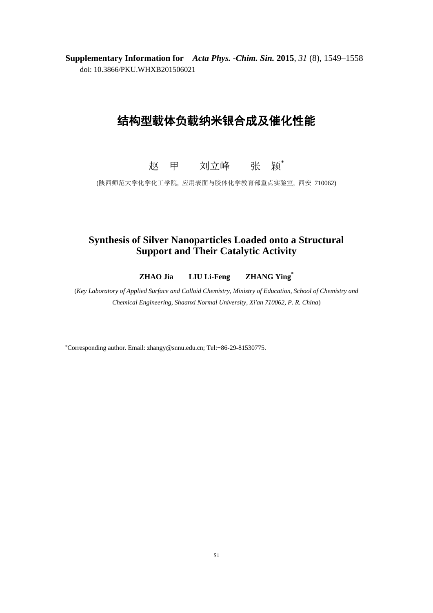**Supplementary Information for** *Acta Phys. -Chim. Sin.* **2015**, *31* (8), 1549–1558 doi: 10.3866/PKU.WHXB201506021

## 结构型载体负载纳米银合成及催化性能

赵 甲 刘立峰 张 颖\*

(陕西师范大学化学化工学院, 应用表面与胶体化学教育部重点实验室, 西安 710062)

## **Synthesis of Silver Nanoparticles Loaded onto a Structural Support and Their Catalytic Activity**

**ZHAO Jia LIU Li-Feng ZHANG Ying\***

(*Key Laboratory of Applied Surface and Colloid Chemistry, Ministry of Education, School of Chemistry and Chemical Engineering, Shaanxi Normal University, Xi'an 710062, P. R. China*)

<sup>∗</sup>Corresponding author. Email: zhangy@snnu.edu.cn; Tel:+86-29-81530775.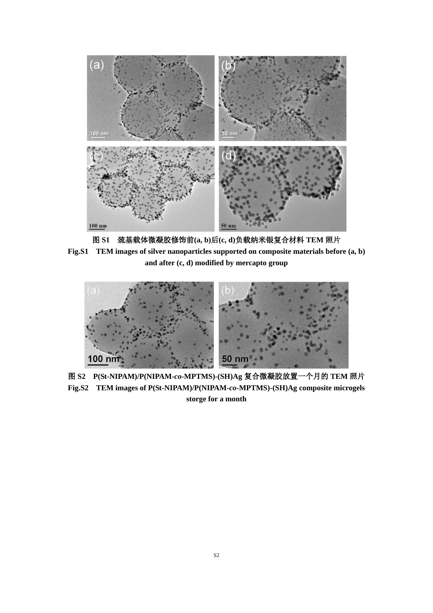

图 **S1** 巯基载体微凝胶修饰前**(a, b)**后**(c, d)**负载纳米银复合材料 **TEM** 照片 **Fig.S1 TEM images of silver nanoparticles supported on composite materials before (a, b) and after (c, d) modified by mercapto group**



图 **S2 P(St-NIPAM)/P(NIPAM-***co***-MPTMS)-(SH)Ag** 复合微凝胶放置一个月的 **TEM** 照片 **Fig.S2 TEM images of P(St-NIPAM)/P(NIPAM-***co***-MPTMS)-(SH)Ag composite microgels storge for a month**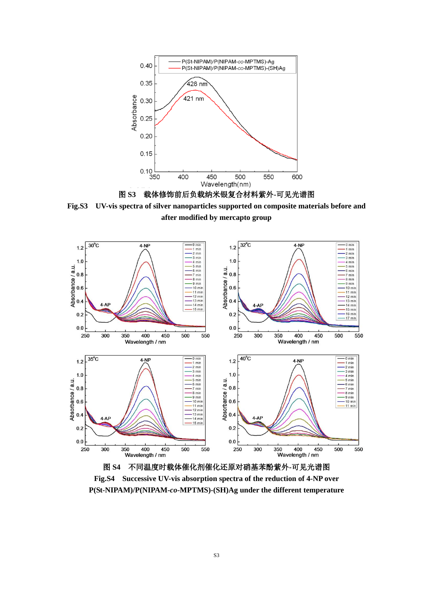



**Fig.S3 UV-vis spectra of silver nanoparticles supported on composite materials before and after modified by mercapto group**



**Fig.S4 Successive UV-vis absorption spectra of the reduction of 4-NP over P(St-NIPAM)/P(NIPAM-***co***-MPTMS)-(SH)Ag under the different temperature**